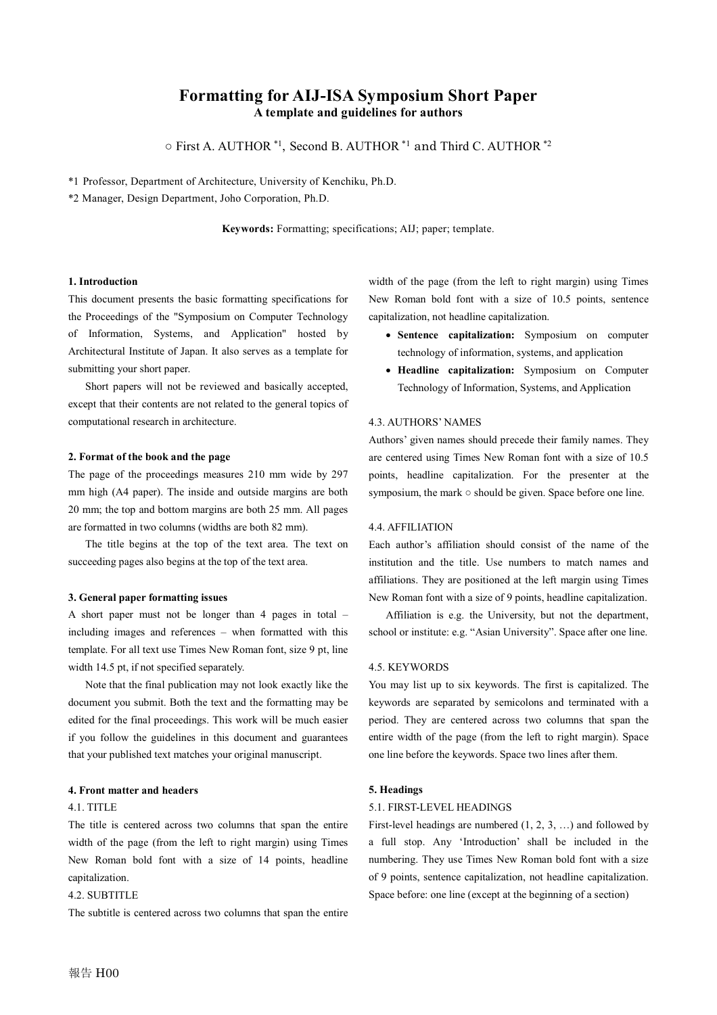# **Formatting for AIJ-ISA Symposium Short Paper A template and guidelines for authors**

○ First A. AUTHOR \*1 , Second B. AUTHOR \*1 and Third C. AUTHOR \*2

\*1 Professor, Department of Architecture, University of Kenchiku, Ph.D.

\*2 Manager, Design Department, Joho Corporation, Ph.D.

**Keywords:** Formatting; specifications; AIJ; paper; template.

### **1. Introduction**

This document presents the basic formatting specifications for the Proceedings of the "Symposium on Computer Technology of Information, Systems, and Application" hosted by Architectural Institute of Japan. It also serves as a template for submitting your short paper.

Short papers will not be reviewed and basically accepted, except that their contents are not related to the general topics of computational research in architecture.

## **2. Format of the book and the page**

The page of the proceedings measures 210 mm wide by 297 mm high (A4 paper). The inside and outside margins are both 20 mm; the top and bottom margins are both 25 mm. All pages are formatted in two columns (widths are both 82 mm).

The title begins at the top of the text area. The text on succeeding pages also begins at the top of the text area.

### **3. General paper formatting issues**

A short paper must not be longer than 4 pages in total – including images and references – when formatted with this template. For all text use Times New Roman font, size 9 pt, line width 14.5 pt, if not specified separately.

Note that the final publication may not look exactly like the document you submit. Both the text and the formatting may be edited for the final proceedings. This work will be much easier if you follow the guidelines in this document and guarantees that your published text matches your original manuscript.

### **4. Front matter and headers**

### 4.1. TITLE

The title is centered across two columns that span the entire width of the page (from the left to right margin) using Times New Roman bold font with a size of 14 points, headline capitalization.

## 4.2. SUBTITLE

The subtitle is centered across two columns that span the entire

width of the page (from the left to right margin) using Times New Roman bold font with a size of 10.5 points, sentence capitalization, not headline capitalization.

- **Sentence capitalization:** Symposium on computer technology of information, systems, and application
- **Headline capitalization:** Symposium on Computer Technology of Information, Systems, and Application

### 4.3. AUTHORS' NAMES

Authors' given names should precede their family names. They are centered using Times New Roman font with a size of 10.5 points, headline capitalization. For the presenter at the symposium, the mark ○ should be given. Space before one line.

## 4.4. AFFILIATION

Each author's affiliation should consist of the name of the institution and the title. Use numbers to match names and affiliations. They are positioned at the left margin using Times New Roman font with a size of 9 points, headline capitalization.

Affiliation is e.g. the University, but not the department, school or institute: e.g. "Asian University". Space after one line.

## 4.5. KEYWORDS

You may list up to six keywords. The first is capitalized. The keywords are separated by semicolons and terminated with a period. They are centered across two columns that span the entire width of the page (from the left to right margin). Space one line before the keywords. Space two lines after them.

### **5. Headings**

### 5.1. FIRST-LEVEL HEADINGS

First-level headings are numbered (1, 2, 3, …) and followed by a full stop. Any 'Introduction' shall be included in the numbering. They use Times New Roman bold font with a size of 9 points, sentence capitalization, not headline capitalization. Space before: one line (except at the beginning of a section)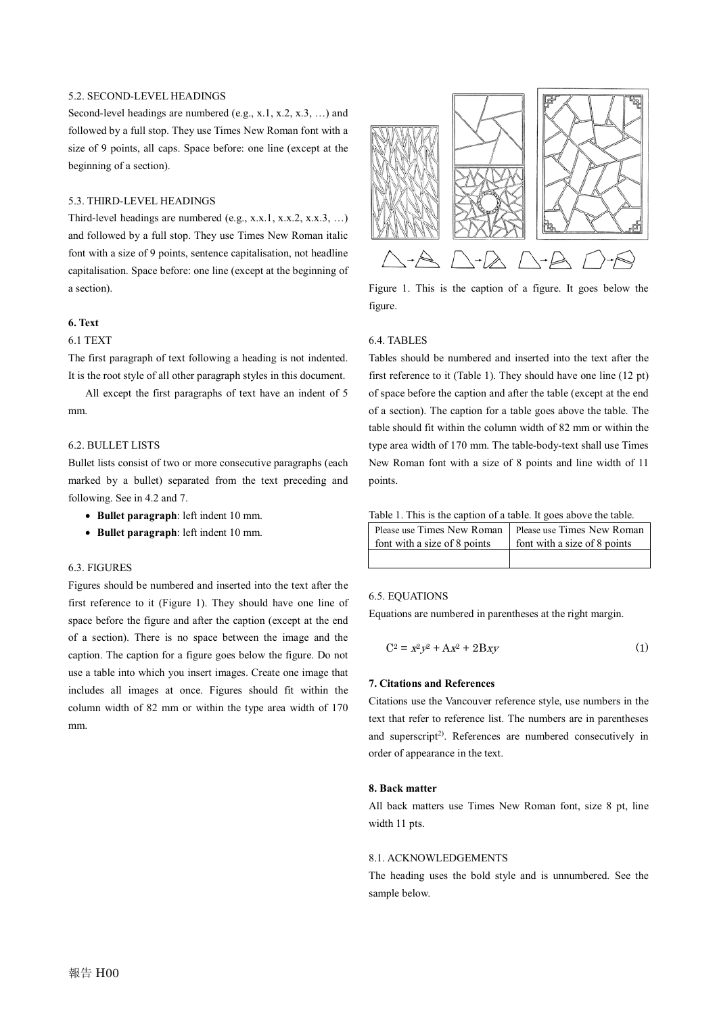## 5.2. SECOND-LEVEL HEADINGS

Second-level headings are numbered (e.g., x.1, x.2, x.3, ...) and followed by a full stop. They use Times New Roman font with a size of 9 points, all caps. Space before: one line (except at the beginning of a section).

## 5.3. THIRD-LEVEL HEADINGS

Third-level headings are numbered (e.g., x.x.1, x.x.2, x.x.3, …) and followed by a full stop. They use Times New Roman italic font with a size of 9 points, sentence capitalisation, not headline capitalisation. Space before: one line (except at the beginning of a section).

## **6. Text**

## 6.1 TEXT

The first paragraph of text following a heading is not indented. It is the root style of all other paragraph styles in this document.

All except the first paragraphs of text have an indent of 5 mm.

## 6.2. BULLET LISTS

Bullet lists consist of two or more consecutive paragraphs (each marked by a bullet) separated from the text preceding and following. See in 4.2 and 7.

- **Bullet paragraph**: left indent 10 mm.
- **Bullet paragraph**: left indent 10 mm.

### 6.3. FIGURES

Figures should be numbered and inserted into the text after the first reference to it (Figure 1). They should have one line of space before the figure and after the caption (except at the end of a section). There is no space between the image and the caption. The caption for a figure goes below the figure. Do not use a table into which you insert images. Create one image that includes all images at once. Figures should fit within the column width of 82 mm or within the type area width of 170 mm.



Figure 1. This is the caption of a figure. It goes below the figure.

## 6.4. TABLES

Tables should be numbered and inserted into the text after the first reference to it (Table 1). They should have one line (12 pt) of space before the caption and after the table (except at the end of a section). The caption for a table goes above the table. The table should fit within the column width of 82 mm or within the type area width of 170 mm. The table-body-text shall use Times New Roman font with a size of 8 points and line width of 11 points.

|  |  | Table 1. This is the caption of a table. It goes above the table. |
|--|--|-------------------------------------------------------------------|
|--|--|-------------------------------------------------------------------|

| Please use Times New Roman   Please use Times New Roman |                              |
|---------------------------------------------------------|------------------------------|
| font with a size of 8 points                            | font with a size of 8 points |
|                                                         |                              |

### 6.5. EQUATIONS

Equations are numbered in parentheses at the right margin.

$$
C^2 = x^2 y^2 + A x^2 + 2Bxy \tag{1}
$$

### **7. Citations and References**

Citations use the Vancouver reference style, use numbers in the text that refer to reference list. The numbers are in parentheses and superscript<sup>2)</sup>. References are numbered consecutively in order of appearance in the text.

### **8. Back matter**

All back matters use Times New Roman font, size 8 pt, line width 11 pts.

### 8.1. ACKNOWLEDGEMENTS

The heading uses the bold style and is unnumbered. See the sample below.